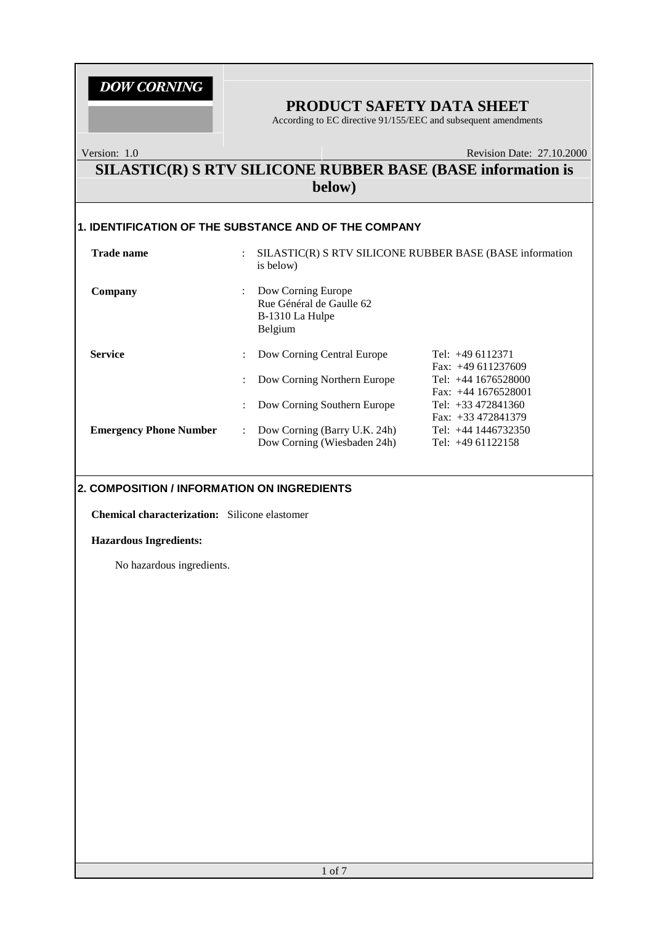### **PRODUCT SAFETY DATA SHEET**

According to EC directive 91/155/EEC and subsequent amendments

Version: 1.0 Revision Date: 27.10.2000

### **SILASTIC(R) S RTV SILICONE RUBBER BASE (BASE information is below)**

### **1. IDENTIFICATION OF THE SUBSTANCE AND OF THE COMPANY**

| <b>Trade name</b>             | $\ddot{\cdot}$            | SILASTIC(R) S RTV SILICONE RUBBER BASE (BASE information<br>is below)        |                                                |  |  |
|-------------------------------|---------------------------|------------------------------------------------------------------------------|------------------------------------------------|--|--|
| Company                       | ÷                         | Dow Corning Europe<br>Rue Général de Gaulle 62<br>B-1310 La Hulpe<br>Belgium |                                                |  |  |
| <b>Service</b>                | ÷                         | Dow Corning Central Europe                                                   | Tel: $+49$ 6112371<br>Fax: $+49611237609$      |  |  |
|                               | ÷                         | Dow Corning Northern Europe                                                  | Tel: $+44$ 1676528000<br>Fax: $+44$ 1676528001 |  |  |
|                               | ÷                         | Dow Corning Southern Europe                                                  | Tel: $+33\,472841360$<br>Fax: $+33\,472841379$ |  |  |
| <b>Emergency Phone Number</b> | $\mathbb{Z}^{\mathbb{Z}}$ | Dow Corning (Barry U.K. 24h)<br>Dow Corning (Wiesbaden 24h)                  | Tel: $+44$ 1446732350<br>Tel: $+4961122158$    |  |  |

#### **2. COMPOSITION / INFORMATION ON INGREDIENTS**

**Chemical characterization:** Silicone elastomer

#### **Hazardous Ingredients:**

No hazardous ingredients.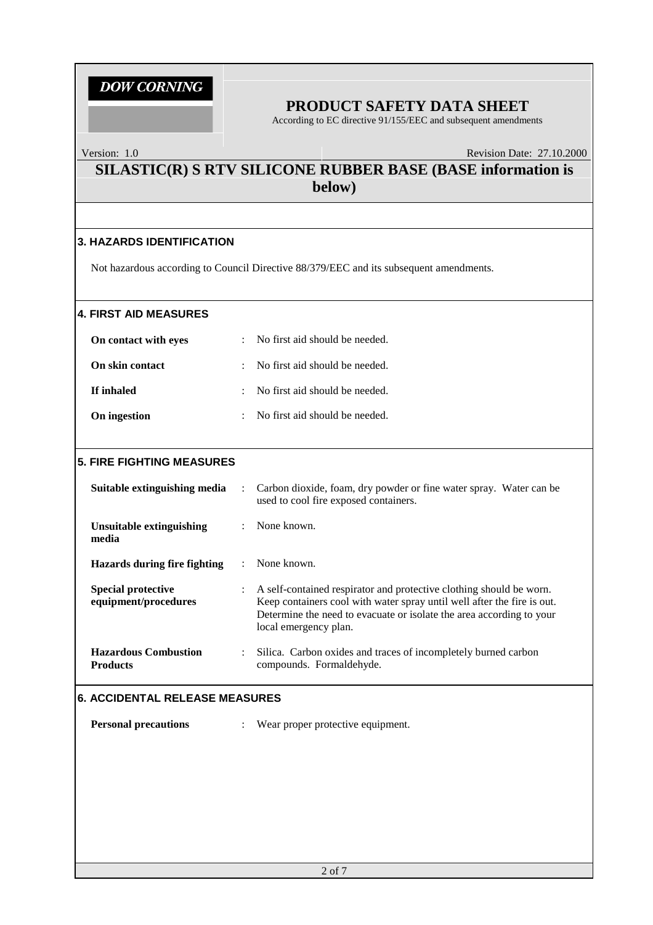### **PRODUCT SAFETY DATA SHEET**

According to EC directive 91/155/EEC and subsequent amendments

#### Version: 1.0 Revision Date: 27.10.2000

### **SILASTIC(R) S RTV SILICONE RUBBER BASE (BASE information is below)**

#### **3. HAZARDS IDENTIFICATION**

Not hazardous according to Council Directive 88/379/EEC and its subsequent amendments.

#### **4. FIRST AID MEASURES**

| On contact with eyes   | : No first aid should be needed.            |
|------------------------|---------------------------------------------|
| <b>On skin contact</b> | $\therefore$ No first aid should be needed. |
| If inhaled             | $\therefore$ No first aid should be needed. |
| On ingestion           | : No first aid should be needed.            |

#### **5. FIRE FIGHTING MEASURES**

| Suitable extinguishing media                      | $\ddot{\phantom{a}}$ | Carbon dioxide, foam, dry powder or fine water spray. Water can be<br>used to cool fire exposed containers.                                                                                                                                     |
|---------------------------------------------------|----------------------|-------------------------------------------------------------------------------------------------------------------------------------------------------------------------------------------------------------------------------------------------|
| Unsuitable extinguishing<br>media                 | $\mathcal{L}$        | None known.                                                                                                                                                                                                                                     |
| Hazards during fire fighting                      |                      | None known.                                                                                                                                                                                                                                     |
| <b>Special protective</b><br>equipment/procedures | $\ddot{\phantom{a}}$ | A self-contained respirator and protective clothing should be worn.<br>Keep containers cool with water spray until well after the fire is out.<br>Determine the need to evacuate or isolate the area according to your<br>local emergency plan. |
| <b>Hazardous Combustion</b><br><b>Products</b>    | $\ddot{\cdot}$       | Silica. Carbon oxides and traces of incompletely burned carbon<br>compounds. Formaldehyde.                                                                                                                                                      |

#### **6. ACCIDENTAL RELEASE MEASURES**

**Personal precautions** : Wear proper protective equipment.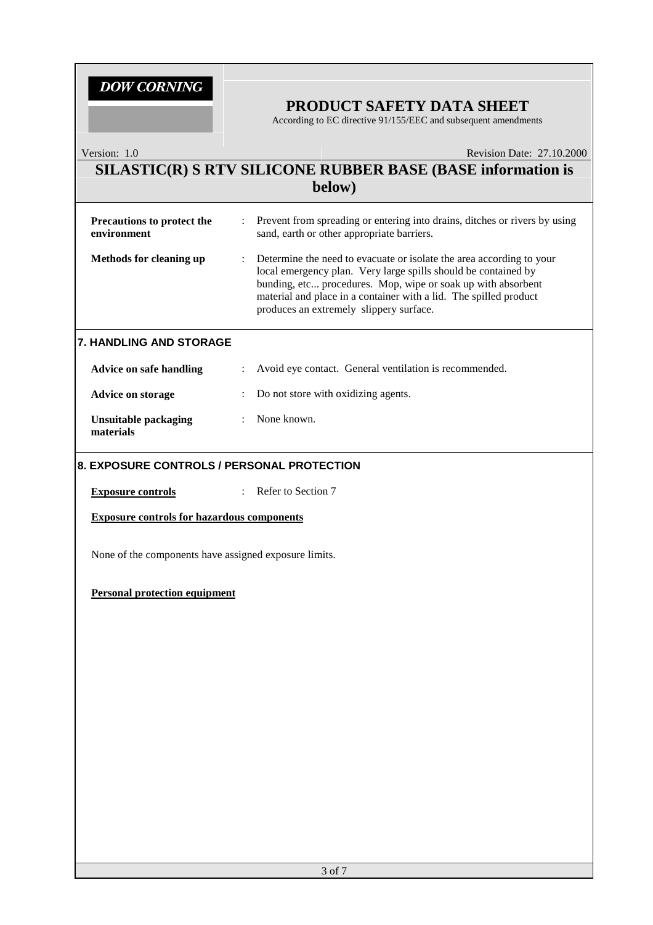### **PRODUCT SAFETY DATA SHEET**

According to EC directive 91/155/EEC and subsequent amendments

| Version: 1.0                                          | Revision Date: 27.10.2000                                                                                                                                                                                                                                                                                                   |
|-------------------------------------------------------|-----------------------------------------------------------------------------------------------------------------------------------------------------------------------------------------------------------------------------------------------------------------------------------------------------------------------------|
|                                                       | SILASTIC(R) S RTV SILICONE RUBBER BASE (BASE information is                                                                                                                                                                                                                                                                 |
|                                                       | below)                                                                                                                                                                                                                                                                                                                      |
| Precautions to protect the<br>environment             | Prevent from spreading or entering into drains, ditches or rivers by using<br>$\ddot{\phantom{a}}$<br>sand, earth or other appropriate barriers.                                                                                                                                                                            |
| Methods for cleaning up                               | Determine the need to evacuate or isolate the area according to your<br>÷<br>local emergency plan. Very large spills should be contained by<br>bunding, etc procedures. Mop, wipe or soak up with absorbent<br>material and place in a container with a lid. The spilled product<br>produces an extremely slippery surface. |
| 7. HANDLING AND STORAGE                               |                                                                                                                                                                                                                                                                                                                             |
| <b>Advice on safe handling</b>                        | Avoid eye contact. General ventilation is recommended.                                                                                                                                                                                                                                                                      |
| <b>Advice on storage</b>                              | Do not store with oxidizing agents.                                                                                                                                                                                                                                                                                         |
| <b>Unsuitable packaging</b><br>materials              | None known.<br>$\ddot{\phantom{0}}$                                                                                                                                                                                                                                                                                         |
| 8. EXPOSURE CONTROLS / PERSONAL PROTECTION            |                                                                                                                                                                                                                                                                                                                             |
| <b>Exposure controls</b>                              | : Refer to Section 7                                                                                                                                                                                                                                                                                                        |
| <b>Exposure controls for hazardous components</b>     |                                                                                                                                                                                                                                                                                                                             |
| None of the components have assigned exposure limits. |                                                                                                                                                                                                                                                                                                                             |
| <b>Personal protection equipment</b>                  |                                                                                                                                                                                                                                                                                                                             |
|                                                       |                                                                                                                                                                                                                                                                                                                             |
|                                                       |                                                                                                                                                                                                                                                                                                                             |
|                                                       |                                                                                                                                                                                                                                                                                                                             |
|                                                       |                                                                                                                                                                                                                                                                                                                             |
|                                                       |                                                                                                                                                                                                                                                                                                                             |
|                                                       |                                                                                                                                                                                                                                                                                                                             |
|                                                       |                                                                                                                                                                                                                                                                                                                             |
|                                                       |                                                                                                                                                                                                                                                                                                                             |
|                                                       |                                                                                                                                                                                                                                                                                                                             |
|                                                       |                                                                                                                                                                                                                                                                                                                             |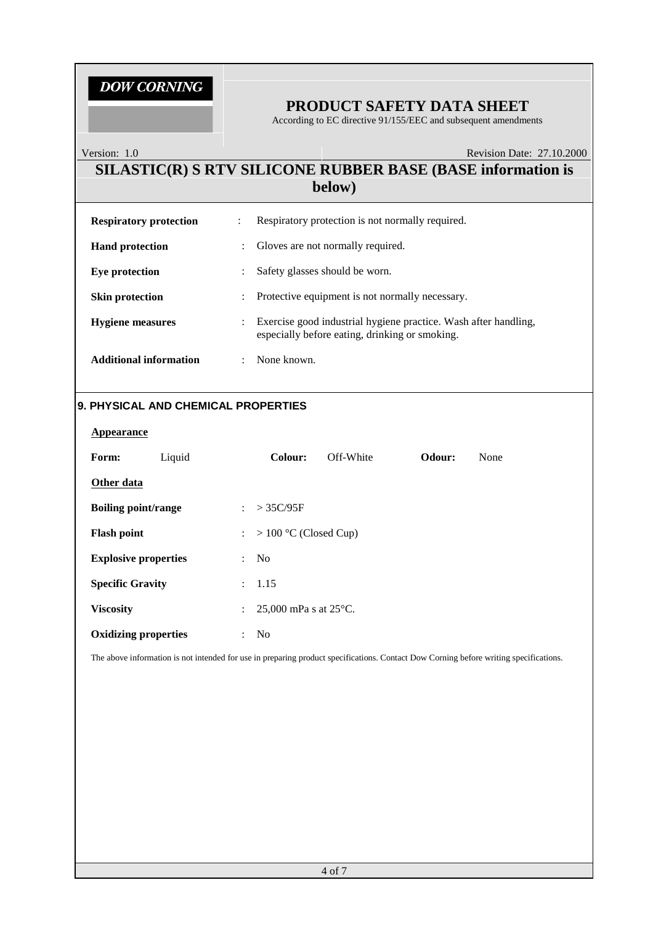### **PRODUCT SAFETY DATA SHEET**

According to EC directive 91/155/EEC and subsequent amendments

#### Version: 1.0 Revision Date: 27.10.2000

### **SILASTIC(R) S RTV SILICONE RUBBER BASE (BASE information is below)**

| <b>Respiratory protection</b> | ÷                         | Respiratory protection is not normally required.                                                                  |
|-------------------------------|---------------------------|-------------------------------------------------------------------------------------------------------------------|
| <b>Hand protection</b>        |                           | Gloves are not normally required.                                                                                 |
| Eye protection                | ÷                         | Safety glasses should be worn.                                                                                    |
| <b>Skin protection</b>        | $\ddot{\phantom{a}}$      | Protective equipment is not normally necessary.                                                                   |
| <b>Hygiene</b> measures       | $\mathbb{Z}^{\mathbb{Z}}$ | Exercise good industrial hygiene practice. Wash after handling,<br>especially before eating, drinking or smoking. |
| <b>Additional information</b> |                           | None known.                                                                                                       |

#### **9. PHYSICAL AND CHEMICAL PROPERTIES**

| Appearance                  |        |                           |                                 |           |        |      |
|-----------------------------|--------|---------------------------|---------------------------------|-----------|--------|------|
| Form:                       | Liquid |                           | Colour:                         | Off-White | Odour: | None |
| Other data                  |        |                           |                                 |           |        |      |
| <b>Boiling point/range</b>  |        | $\mathcal{L}$             | $>$ 35C/95F                     |           |        |      |
| <b>Flash point</b>          |        | $\mathbb{R}^{\mathbb{Z}}$ | $> 100$ °C (Closed Cup)         |           |        |      |
| <b>Explosive properties</b> |        | $\mathcal{L}$             | No                              |           |        |      |
| <b>Specific Gravity</b>     |        | $\mathbb{R}^{\mathbb{Z}}$ | 1.15                            |           |        |      |
| <b>Viscosity</b>            |        | $\mathbb{R}^{\mathbb{Z}}$ | 25,000 mPa s at $25^{\circ}$ C. |           |        |      |
| <b>Oxidizing properties</b> |        |                           | N <sub>o</sub>                  |           |        |      |

The above information is not intended for use in preparing product specifications. Contact Dow Corning before writing specifications.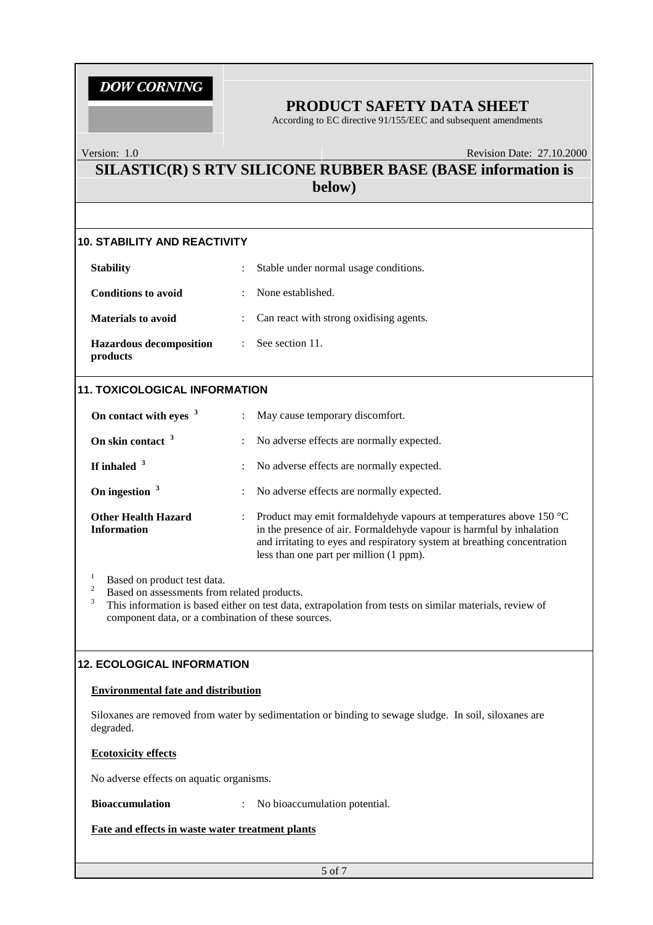### **PRODUCT SAFETY DATA SHEET**

According to EC directive 91/155/EEC and subsequent amendments

#### Version: 1.0 Revision Date: 27.10.2000

### **SILASTIC(R) S RTV SILICONE RUBBER BASE (BASE information is below)**

#### **10. STABILITY AND REACTIVITY**

| <b>Stability</b>                           | $\ddot{\phantom{a}}$      | Stable under normal usage conditions.     |
|--------------------------------------------|---------------------------|-------------------------------------------|
| <b>Conditions to avoid</b>                 |                           | $\therefore$ None established.            |
| <b>Materials to avoid</b>                  |                           | : Can react with strong oxidising agents. |
| <b>Hazardous decomposition</b><br>products | $\mathbb{R}^{\mathbb{Z}}$ | See section 11.                           |

#### **11. TOXICOLOGICAL INFORMATION**

| On contact with eyes <sup>3</sup>                | $\bullet$            | May cause temporary discomfort.                                                                                                                                                                                                                                   |
|--------------------------------------------------|----------------------|-------------------------------------------------------------------------------------------------------------------------------------------------------------------------------------------------------------------------------------------------------------------|
| On skin contact <sup>3</sup>                     | $\ddot{\phantom{a}}$ | No adverse effects are normally expected.                                                                                                                                                                                                                         |
| If inhaled $3$                                   | $\mathbb{Z}$         | No adverse effects are normally expected.                                                                                                                                                                                                                         |
| On ingestion $3$                                 | $\ddot{\phantom{a}}$ | No adverse effects are normally expected.                                                                                                                                                                                                                         |
| <b>Other Health Hazard</b><br><b>Information</b> |                      | Product may emit formaldehyde vapours at temperatures above 150 °C<br>in the presence of air. Formaldehyde vapour is harmful by inhalation<br>and irritating to eyes and respiratory system at breathing concentration<br>less than one part per million (1 ppm). |

<sup>1</sup> Based on product test data.<br><sup>2</sup> Based on assessments from related products.<br><sup>3</sup> This information is based either on test data, extrapolation from tests on similar materials, review of component data, or a combination of these sources.

#### **12. ECOLOGICAL INFORMATION**

#### **Environmental fate and distribution**

Siloxanes are removed from water by sedimentation or binding to sewage sludge. In soil, siloxanes are degraded.

#### **Ecotoxicity effects**

No adverse effects on aquatic organisms.

**Bioaccumulation** : No bioaccumulation potential.

#### **Fate and effects in waste water treatment plants**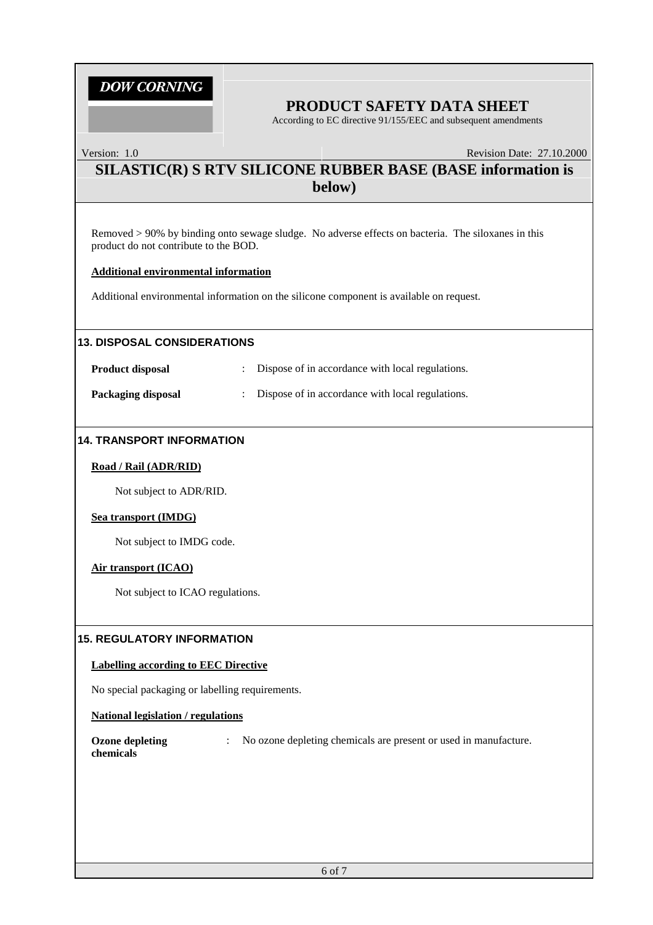### **PRODUCT SAFETY DATA SHEET**

According to EC directive 91/155/EEC and subsequent amendments

Version: 1.0 Revision Date: 27.10.2000

### **SILASTIC(R) S RTV SILICONE RUBBER BASE (BASE information is below)**

Removed > 90% by binding onto sewage sludge. No adverse effects on bacteria. The siloxanes in this product do not contribute to the BOD.

#### **Additional environmental information**

Additional environmental information on the silicone component is available on request.

#### **13. DISPOSAL CONSIDERATIONS**

**Product disposal** : Dispose of in accordance with local regulations. **Packaging disposal** : Dispose of in accordance with local regulations.

#### **14. TRANSPORT INFORMATION**

#### **Road / Rail (ADR/RID)**

Not subject to ADR/RID.

#### **Sea transport (IMDG)**

Not subject to IMDG code.

#### **Air transport (ICAO)**

Not subject to ICAO regulations.

#### **15. REGULATORY INFORMATION**

#### **Labelling according to EEC Directive**

No special packaging or labelling requirements.

#### **National legislation / regulations**

**Ozone depleting** : No ozone depleting chemicals are present or used in manufacture. **chemicals**